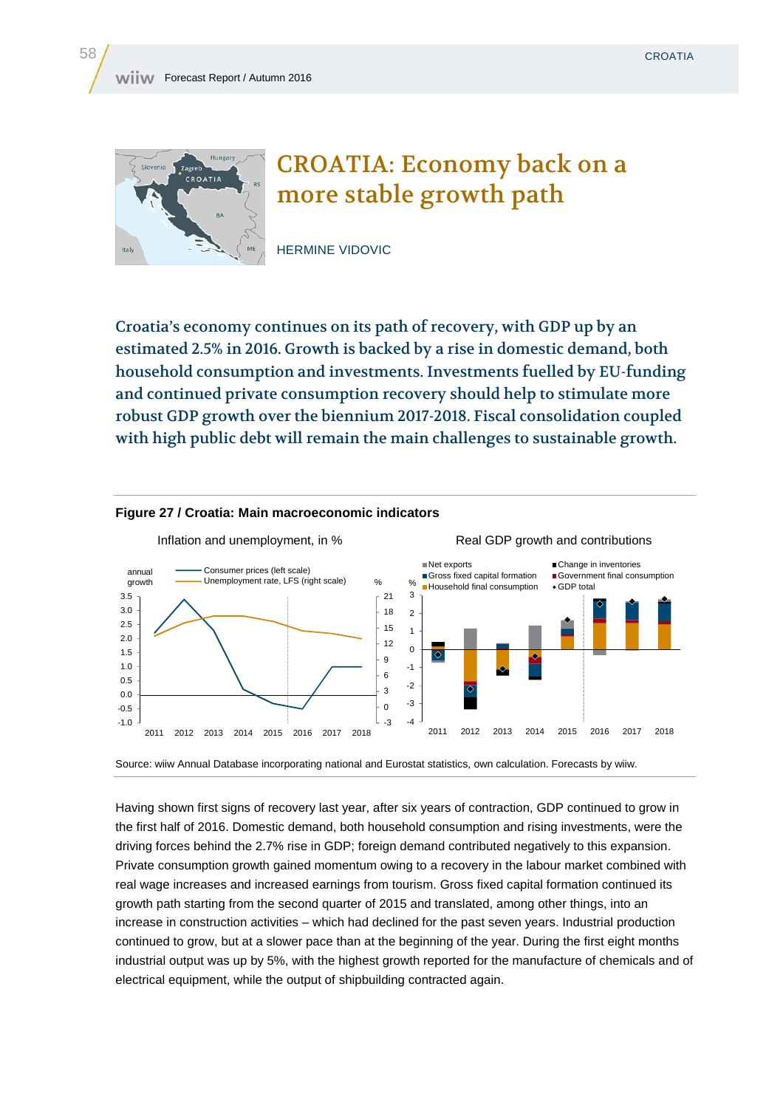

## CROATIA: Economy back on a more stable growth path

HERMINE VIDOVIC

Croatia's economy continues on its path of recovery, with GDP up by an estimated 2.5% in 2016. Growth is backed by a rise in domestic demand, both household consumption and investments. Investments fuelled by EU-funding and continued private consumption recovery should help to stimulate more robust GDP growth over the biennium 2017-2018. Fiscal consolidation coupled with high public debt will remain the main challenges to sustainable growth.



## **Figure 27 / Croatia: Main macroeconomic indicators**

Source: wiiw Annual Database incorporating national and Eurostat statistics, own calculation. Forecasts by wiiw.

Having shown first signs of recovery last year, after six years of contraction, GDP continued to grow in the first half of 2016. Domestic demand, both household consumption and rising investments, were the driving forces behind the 2.7% rise in GDP; foreign demand contributed negatively to this expansion. Private consumption growth gained momentum owing to a recovery in the labour market combined with real wage increases and increased earnings from tourism. Gross fixed capital formation continued its growth path starting from the second quarter of 2015 and translated, among other things, into an increase in construction activities – which had declined for the past seven years. Industrial production continued to grow, but at a slower pace than at the beginning of the year. During the first eight months industrial output was up by 5%, with the highest growth reported for the manufacture of chemicals and of electrical equipment, while the output of shipbuilding contracted again.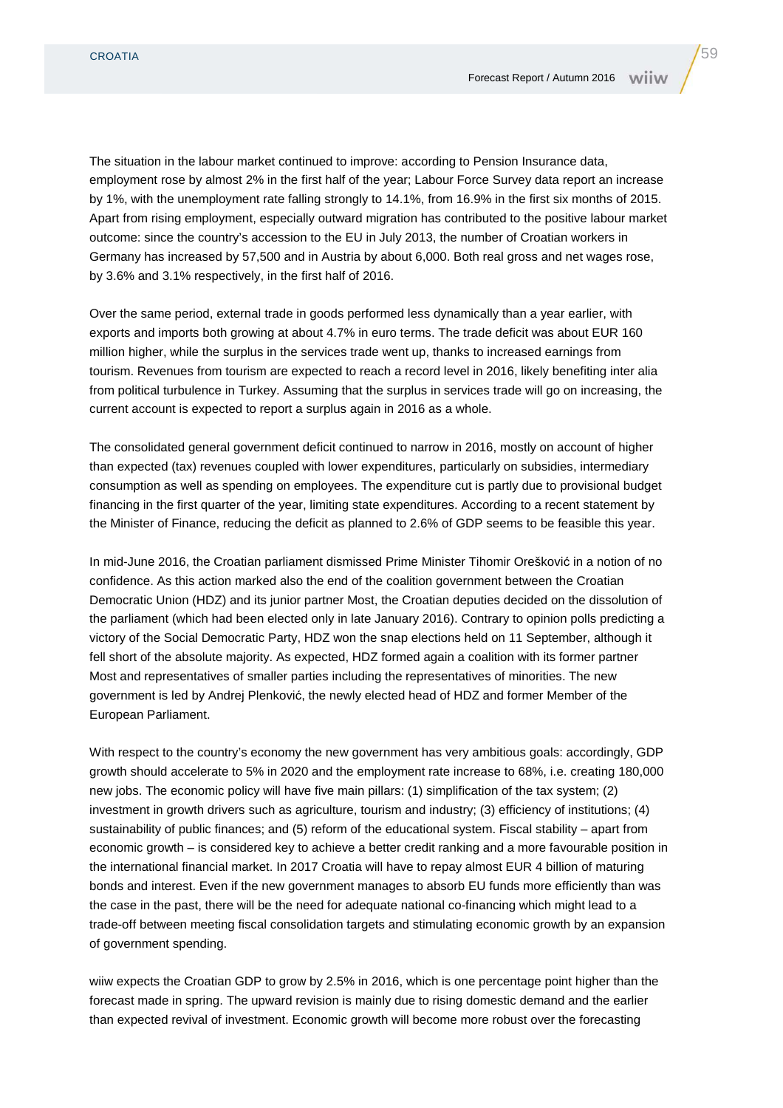The situation in the labour market continued to improve: according to Pension Insurance data, employment rose by almost 2% in the first half of the year; Labour Force Survey data report an increase by 1%, with the unemployment rate falling strongly to 14.1%, from 16.9% in the first six months of 2015. Apart from rising employment, especially outward migration has contributed to the positive labour market outcome: since the country's accession to the EU in July 2013, the number of Croatian workers in Germany has increased by 57,500 and in Austria by about 6,000. Both real gross and net wages rose, by 3.6% and 3.1% respectively, in the first half of 2016.

Over the same period, external trade in goods performed less dynamically than a year earlier, with exports and imports both growing at about 4.7% in euro terms. The trade deficit was about EUR 160 million higher, while the surplus in the services trade went up, thanks to increased earnings from tourism. Revenues from tourism are expected to reach a record level in 2016, likely benefiting inter alia from political turbulence in Turkey. Assuming that the surplus in services trade will go on increasing, the current account is expected to report a surplus again in 2016 as a whole.

The consolidated general government deficit continued to narrow in 2016, mostly on account of higher than expected (tax) revenues coupled with lower expenditures, particularly on subsidies, intermediary consumption as well as spending on employees. The expenditure cut is partly due to provisional budget financing in the first quarter of the year, limiting state expenditures. According to a recent statement by the Minister of Finance, reducing the deficit as planned to 2.6% of GDP seems to be feasible this year.

In mid-June 2016, the Croatian parliament dismissed Prime Minister Tihomir Orešković in a notion of no confidence. As this action marked also the end of the coalition government between the Croatian Democratic Union (HDZ) and its junior partner Most, the Croatian deputies decided on the dissolution of the parliament (which had been elected only in late January 2016). Contrary to opinion polls predicting a victory of the Social Democratic Party, HDZ won the snap elections held on 11 September, although it fell short of the absolute majority. As expected, HDZ formed again a coalition with its former partner Most and representatives of smaller parties including the representatives of minorities. The new government is led by Andrej Plenković, the newly elected head of HDZ and former Member of the European Parliament.

With respect to the country's economy the new government has very ambitious goals: accordingly, GDP growth should accelerate to 5% in 2020 and the employment rate increase to 68%, i.e. creating 180,000 new jobs. The economic policy will have five main pillars: (1) simplification of the tax system; (2) investment in growth drivers such as agriculture, tourism and industry; (3) efficiency of institutions; (4) sustainability of public finances; and (5) reform of the educational system. Fiscal stability – apart from economic growth – is considered key to achieve a better credit ranking and a more favourable position in the international financial market. In 2017 Croatia will have to repay almost EUR 4 billion of maturing bonds and interest. Even if the new government manages to absorb EU funds more efficiently than was the case in the past, there will be the need for adequate national co-financing which might lead to a trade-off between meeting fiscal consolidation targets and stimulating economic growth by an expansion of government spending.

wiiw expects the Croatian GDP to grow by 2.5% in 2016, which is one percentage point higher than the forecast made in spring. The upward revision is mainly due to rising domestic demand and the earlier than expected revival of investment. Economic growth will become more robust over the forecasting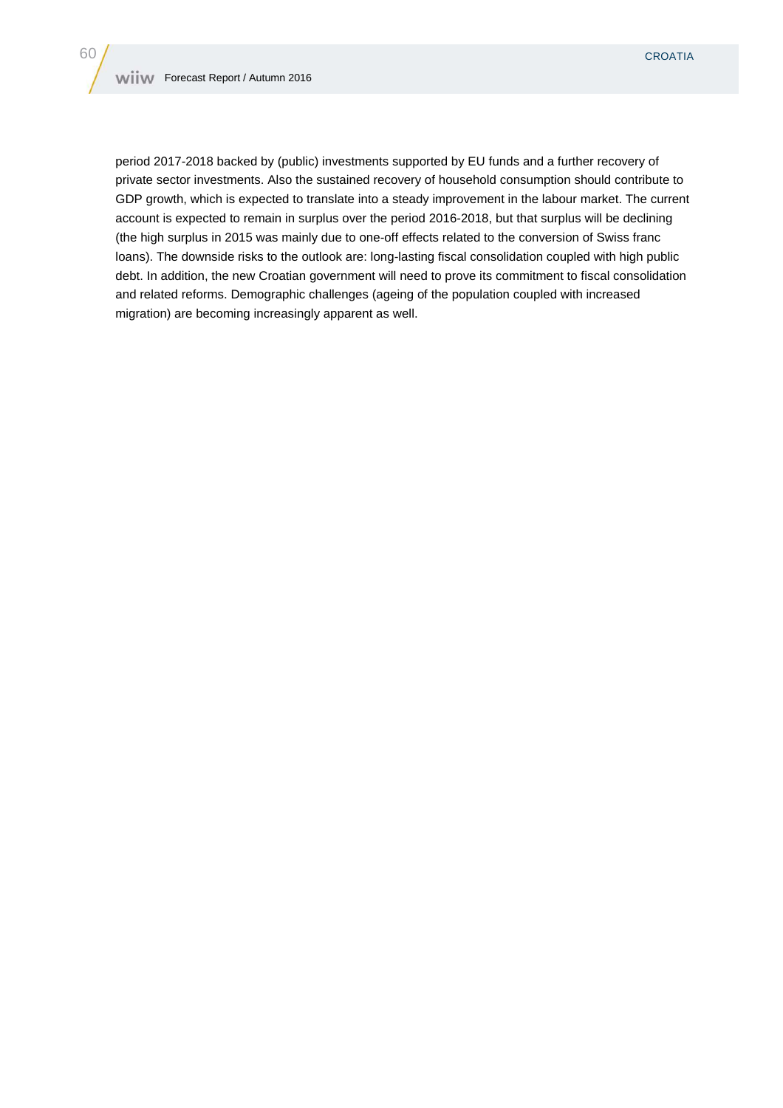period 2017-2018 backed by (public) investments supported by EU funds and a further recovery of private sector investments. Also the sustained recovery of household consumption should contribute to GDP growth, which is expected to translate into a steady improvement in the labour market. The current account is expected to remain in surplus over the period 2016-2018, but that surplus will be declining (the high surplus in 2015 was mainly due to one-off effects related to the conversion of Swiss franc loans). The downside risks to the outlook are: long-lasting fiscal consolidation coupled with high public debt. In addition, the new Croatian government will need to prove its commitment to fiscal consolidation and related reforms. Demographic challenges (ageing of the population coupled with increased migration) are becoming increasingly apparent as well.